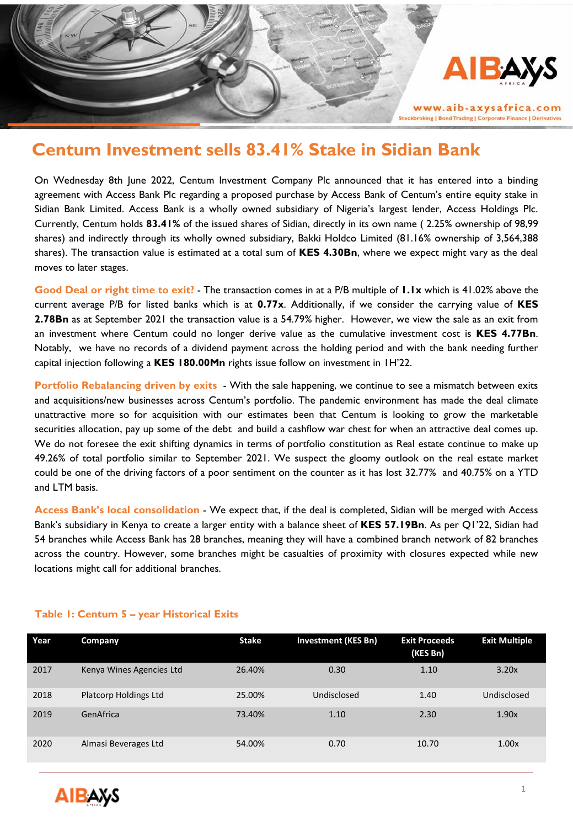

www.aib-axysafrica.com kbroking | Bond Trading | Corporate Finance | Derivative

# **Centum Investment sells 83.41% Stake in Sidian Bank**

On Wednesday 8th June 2022, Centum Investment Company Plc announced that it has entered into a binding agreement with Access Bank Plc regarding a proposed purchase by Access Bank of Centum's entire equity stake in Sidian Bank Limited. Access Bank is a wholly owned subsidiary of Nigeria's largest lender, Access Holdings Plc. Currently, Centum holds **83.41%** of the issued shares of Sidian, directly in its own name ( 2.25% ownership of 98,99 shares) and indirectly through its wholly owned subsidiary, Bakki Holdco Limited (81.16% ownership of 3,564,388 shares). The transaction value is estimated at a total sum of **KES 4.30Bn**, where we expect might vary as the deal moves to later stages.

**Good Deal or right time to exit?** - The transaction comes in at a P/B multiple of **1.1x** which is 41.02% above the current average P/B for listed banks which is at **0.77x**. Additionally, if we consider the carrying value of **KES 2.78Bn** as at September 2021 the transaction value is a 54.79% higher. However, we view the sale as an exit from an investment where Centum could no longer derive value as the cumulative investment cost is **KES 4.77Bn**. Notably, we have no records of a dividend payment across the holding period and with the bank needing further capital injection following a **KES 180.00Mn** rights issue follow on investment in 1H'22.

**Portfolio Rebalancing driven by exits** - With the sale happening, we continue to see a mismatch between exits and acquisitions/new businesses across Centum's portfolio. The pandemic environment has made the deal climate unattractive more so for acquisition with our estimates been that Centum is looking to grow the marketable securities allocation, pay up some of the debt and build a cashflow war chest for when an attractive deal comes up. We do not foresee the exit shifting dynamics in terms of portfolio constitution as Real estate continue to make up 49.26% of total portfolio similar to September 2021. We suspect the gloomy outlook on the real estate market could be one of the driving factors of a poor sentiment on the counter as it has lost 32.77% and 40.75% on a YTD and LTM basis.

**Access Bank's local consolidation** - We expect that, if the deal is completed, Sidian will be merged with Access Bank's subsidiary in Kenya to create a larger entity with a balance sheet of **KES 57.19Bn**. As per Q1'22, Sidian had 54 branches while Access Bank has 28 branches, meaning they will have a combined branch network of 82 branches across the country. However, some branches might be casualties of proximity with closures expected while new locations might call for additional branches.

| Year | Company                  | Stake  | <b>Investment (KES Bn)</b> | <b>Exit Proceeds</b><br>(KES Bn) | <b>Exit Multiple</b> |
|------|--------------------------|--------|----------------------------|----------------------------------|----------------------|
| 2017 | Kenya Wines Agencies Ltd | 26.40% | 0.30                       | 1.10                             | 3.20x                |
| 2018 | Platcorp Holdings Ltd    | 25.00% | Undisclosed                | 1.40                             | Undisclosed          |
| 2019 | GenAfrica                | 73.40% | 1.10                       | 2.30                             | 1.90x                |
| 2020 | Almasi Beverages Ltd     | 54.00% | 0.70                       | 10.70                            | 1.00x                |

### **Table 1: Centum 5 – year Historical Exits**

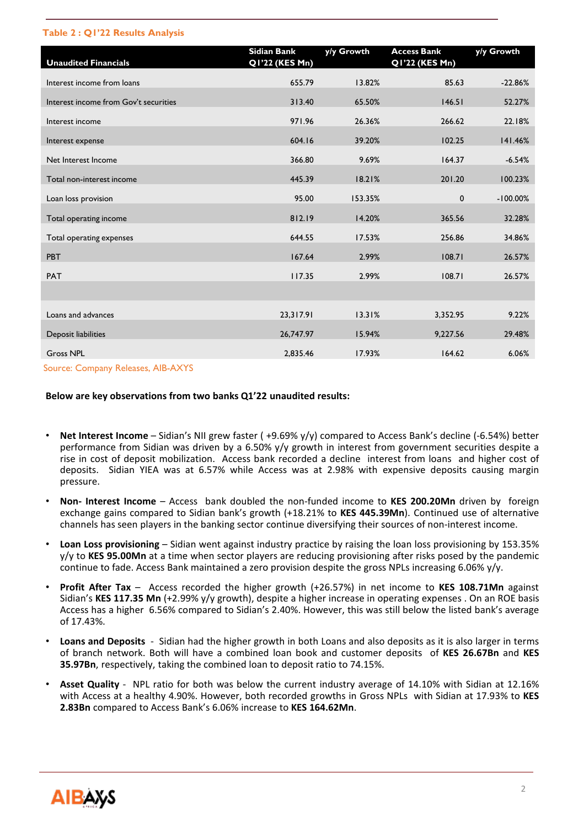#### **Table 2 : Q1'22 Results Analysis**

| <b>Unaudited Financials</b>           | <b>Sidian Bank</b><br>Q1'22 (KES Mn) | y/y Growth | <b>Access Bank</b><br>Q1'22 (KES Mn) | y/y Growth  |
|---------------------------------------|--------------------------------------|------------|--------------------------------------|-------------|
| Interest income from loans            | 655.79                               | 13.82%     | 85.63                                | $-22.86%$   |
| Interest income from Gov't securities | 313.40                               | 65.50%     | 146.51                               | 52.27%      |
| Interest income                       | 971.96                               | 26.36%     | 266.62                               | 22.18%      |
| Interest expense                      | 604.16                               | 39.20%     | 102.25                               | 141.46%     |
| Net Interest Income                   | 366.80                               | 9.69%      | 164.37                               | $-6.54%$    |
| Total non-interest income             | 445.39                               | 18.21%     | 201.20                               | 100.23%     |
| Loan loss provision                   | 95.00                                | 153.35%    | $\mathbf 0$                          | $-100.00\%$ |
| Total operating income                | 812.19                               | 14.20%     | 365.56                               | 32.28%      |
| Total operating expenses              | 644.55                               | 17.53%     | 256.86                               | 34.86%      |
| PBT                                   | 167.64                               | 2.99%      | 108.71                               | 26.57%      |
| <b>PAT</b>                            | 117.35                               | 2.99%      | 108.71                               | 26.57%      |
|                                       |                                      |            |                                      |             |
| Loans and advances                    | 23,317.91                            | 13.31%     | 3,352.95                             | 9.22%       |
| Deposit liabilities                   | 26,747.97                            | 15.94%     | 9,227.56                             | 29.48%      |
| <b>Gross NPL</b>                      | 2,835.46                             | 17.93%     | 164.62                               | 6.06%       |
| Course: Company Pologeos, AID AVVC    |                                      |            |                                      |             |

Source: Company Releases, AIB-AXYS

#### **Below are key observations from two banks Q1'22 unaudited results:**

- **Net Interest Income** Sidian's NII grew faster ( +9.69% y/y) compared to Access Bank's decline (-6.54%) better performance from Sidian was driven by a 6.50% y/y growth in interest from government securities despite a rise in cost of deposit mobilization. Access bank recorded a decline interest from loans and higher cost of deposits. Sidian YIEA was at 6.57% while Access was at 2.98% with expensive deposits causing margin pressure.
- **Non- Interest Income** Access bank doubled the non-funded income to **KES 200.20Mn** driven by foreign exchange gains compared to Sidian bank's growth (+18.21% to **KES 445.39Mn**). Continued use of alternative channels has seen players in the banking sector continue diversifying their sources of non-interest income.
- **Loan Loss provisioning** Sidian went against industry practice by raising the loan loss provisioning by 153.35% y/y to **KES 95.00Mn** at a time when sector players are reducing provisioning after risks posed by the pandemic continue to fade. Access Bank maintained a zero provision despite the gross NPLs increasing 6.06% y/y.
- **Profit After Tax** Access recorded the higher growth (+26.57%) in net income to **KES 108.71Mn** against Sidian's **KES 117.35 Mn** (+2.99% y/y growth), despite a higher increase in operating expenses . On an ROE basis Access has a higher 6.56% compared to Sidian's 2.40%. However, this was still below the listed bank's average of 17.43%.
- **Loans and Deposits** Sidian had the higher growth in both Loans and also deposits as it is also larger in terms of branch network. Both will have a combined loan book and customer deposits of **KES 26.67Bn** and **KES 35.97Bn**, respectively, taking the combined loan to deposit ratio to 74.15%.
- **Asset Quality** NPL ratio for both was below the current industry average of 14.10% with Sidian at 12.16% with Access at a healthy 4.90%. However, both recorded growths in Gross NPLs with Sidian at 17.93% to **KES 2.83Bn** compared to Access Bank's 6.06% increase to **KES 164.62Mn**.

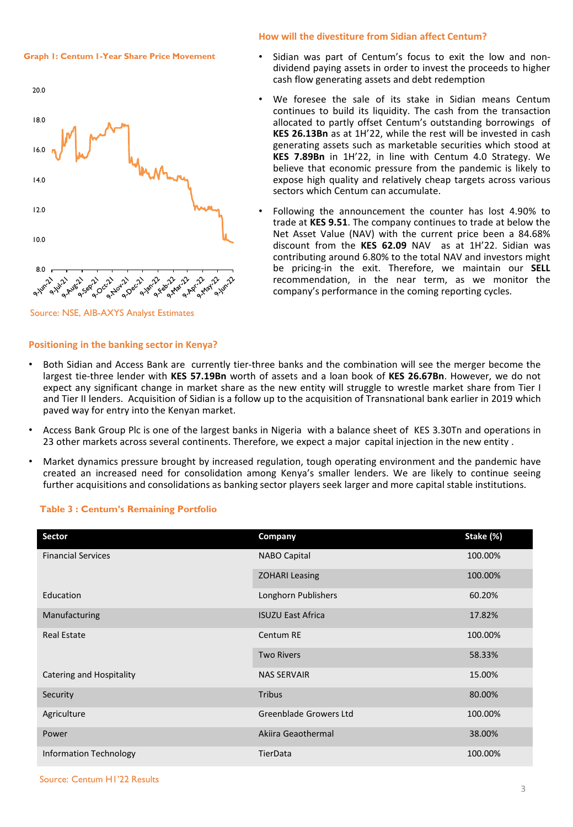**Graph 1: Centum 1-Year Share Price Movement** 

## 20.0 18.0 16.0 14.0 12.0 10.0 8.0 CENTARY 211-112 Arize of the A.Agr.71 All Avere Ave **A** Sep 21 Ave ∿ **All May**



#### **Positioning in the banking sector in Kenya?**

### **How will the divestiture from Sidian affect Centum?**

- Sidian was part of Centum's focus to exit the low and nondividend paying assets in order to invest the proceeds to higher cash flow generating assets and debt redemption
- We foresee the sale of its stake in Sidian means Centum continues to build its liquidity. The cash from the transaction allocated to partly offset Centum's outstanding borrowings of **KES 26.13Bn** as at 1H'22, while the rest will be invested in cash generating assets such as marketable securities which stood at **KES 7.89Bn** in 1H'22, in line with Centum 4.0 Strategy. We believe that economic pressure from the pandemic is likely to expose high quality and relatively cheap targets across various sectors which Centum can accumulate.
- Following the announcement the counter has lost 4.90% to trade at **KES 9.51**. The company continues to trade at below the Net Asset Value (NAV) with the current price been a 84.68% discount from the **KES 62.09** NAV as at 1H'22. Sidian was contributing around 6.80% to the total NAV and investors might be pricing-in the exit. Therefore, we maintain our **SELL** recommendation, in the near term, as we monitor the company's performance in the coming reporting cycles.
- Both Sidian and Access Bank are currently tier-three banks and the combination will see the merger become the largest tie-three lender with **KES 57.19Bn** worth of assets and a loan book of **KES 26.67Bn**. However, we do not expect any significant change in market share as the new entity will struggle to wrestle market share from Tier I and Tier II lenders. Acquisition of Sidian is a follow up to the acquisition of Transnational bank earlier in 2019 which paved way for entry into the Kenyan market.
- Access Bank Group Plc is one of the largest banks in Nigeria with a balance sheet of KES 3.30Tn and operations in 23 other markets across several continents. Therefore, we expect a major capital injection in the new entity .
- Market dynamics pressure brought by increased regulation, tough operating environment and the pandemic have created an increased need for consolidation among Kenya's smaller lenders. We are likely to continue seeing further acquisitions and consolidations as banking sector players seek larger and more capital stable institutions.

| Sector                    | Company                  | Stake (%) |
|---------------------------|--------------------------|-----------|
| <b>Financial Services</b> | <b>NABO Capital</b>      | 100.00%   |
|                           | <b>ZOHARI Leasing</b>    | 100.00%   |
| Education                 | Longhorn Publishers      | 60.20%    |
| Manufacturing             | <b>ISUZU East Africa</b> | 17.82%    |
| <b>Real Estate</b>        | Centum RE                | 100.00%   |
|                           | <b>Two Rivers</b>        | 58.33%    |
| Catering and Hospitality  | <b>NAS SERVAIR</b>       | 15.00%    |
| Security                  | <b>Tribus</b>            | 80.00%    |
| Agriculture               | Greenblade Growers Ltd   | 100.00%   |
| Power                     | Akiira Geaothermal       | 38.00%    |
| Information Technology    | TierData                 | 100.00%   |

## **Table 3 : Centum's Remaining Portfolio**

Source: Centum H1'22 Results